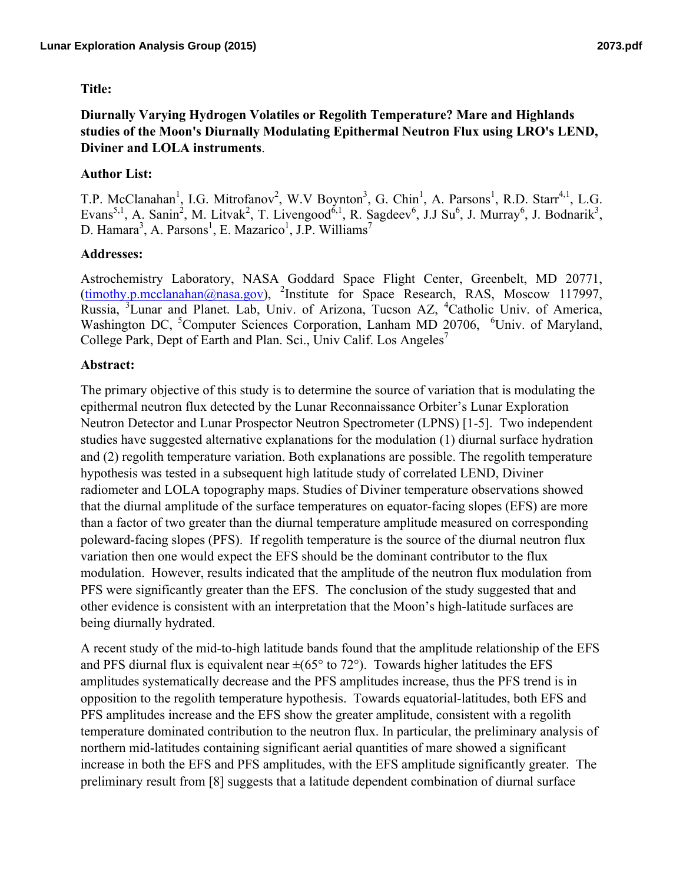## **Title:**

# **Author List:**

T.P. McClanahan<sup>1</sup>, I.G. Mitrofanov<sup>2</sup>, W.V Boynton<sup>3</sup>, G. Chin<sup>1</sup>, A. Parsons<sup>1</sup>, R.D. Starr<sup>4,1</sup>, L.G. Evans<sup>5,1</sup>, A. Sanin<sup>2</sup>, M. Litvak<sup>2</sup>, T. Livengood<sup>6,1</sup>, R. Sagdeev<sup>6</sup>, J.J Su<sup>6</sup>, J. Murray<sup>6</sup>, J. Bodnarik<sup>3</sup>, D. Hamara<sup>3</sup>, A. Parsons<sup>1</sup>, E. Mazarico<sup>1</sup>, J.P. Williams<sup>7</sup>

### **Addresses:**

Astrochemistry Laboratory, NASA Goddard Space Flight Center, Greenbelt, MD 20771, (timothy.p.mcclanahan@nasa.gov), <sup>2</sup>Institute for Space Research, RAS, Moscow 117997, Russia, <sup>3</sup>Lunar and Planet. Lab, Univ. of Arizona, Tucson AZ, <sup>4</sup>Catholic Univ. of America, Washington DC, <sup>5</sup>Computer Sciences Corporation, Lanham MD 20706, <sup>6</sup>Univ. of Maryland, College Park, Dept of Earth and Plan. Sci., Univ Calif. Los Angeles<sup>7</sup>

### **Abstract:**

The primary objective of this study is to determine the source of variation that is modulating the epithermal neutron flux detected by the Lunar Reconnaissance Orbiter's Lunar Exploration Neutron Detector and Lunar Prospector Neutron Spectrometer (LPNS) [1-5]. Two independent studies have suggested alternative explanations for the modulation (1) diurnal surface hydration and (2) regolith temperature variation. Both explanations are possible. The regolith temperature hypothesis was tested in a subsequent high latitude study of correlated LEND, Diviner radiometer and LOLA topography maps. Studies of Diviner temperature observations showed that the diurnal amplitude of the surface temperatures on equator-facing slopes (EFS) are more than a factor of two greater than the diurnal temperature amplitude measured on corresponding poleward-facing slopes (PFS). If regolith temperature is the source of the diurnal neutron flux variation then one would expect the EFS should be the dominant contributor to the flux modulation. However, results indicated that the amplitude of the neutron flux modulation from PFS were significantly greater than the EFS. The conclusion of the study suggested that and other evidence is consistent with an interpretation that the Moon's high-latitude surfaces are being diurnally hydrated.

A recent study of the mid-to-high latitude bands found that the amplitude relationship of the EFS and PFS diurnal flux is equivalent near  $\pm (65^{\circ}$  to 72°). Towards higher latitudes the EFS amplitudes systematically decrease and the PFS amplitudes increase, thus the PFS trend is in opposition to the regolith temperature hypothesis. Towards equatorial-latitudes, both EFS and PFS amplitudes increase and the EFS show the greater amplitude, consistent with a regolith temperature dominated contribution to the neutron flux. In particular, the preliminary analysis of northern mid-latitudes containing significant aerial quantities of mare showed a significant increase in both the EFS and PFS amplitudes, with the EFS amplitude significantly greater. The preliminary result from [8] suggests that a latitude dependent combination of diurnal surface